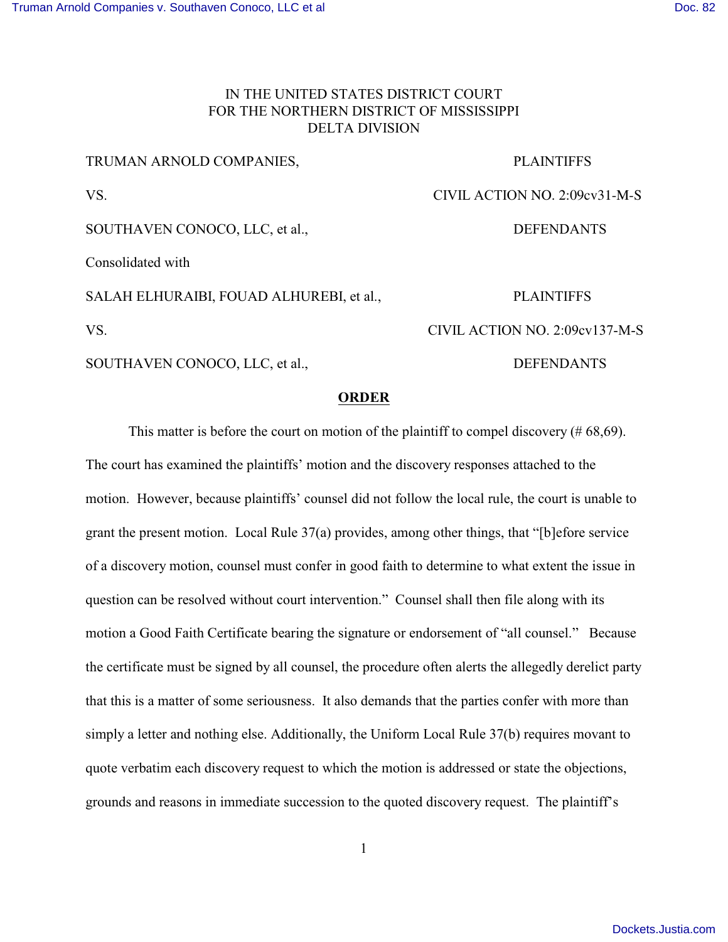## IN THE UNITED STATES DISTRICT COURT FOR THE NORTHERN DISTRICT OF MISSISSIPPI DELTA DIVISION

| SOUTHAVEN CONOCO, LLC, et al.,           | <b>DEFENDANTS</b>              |
|------------------------------------------|--------------------------------|
| VS.                                      | CIVIL ACTION NO. 2:09cv137-M-S |
| SALAH ELHURAIBI, FOUAD ALHUREBI, et al., | <b>PLAINTIFFS</b>              |
| Consolidated with                        |                                |
| SOUTHAVEN CONOCO, LLC, et al.,           | <b>DEFENDANTS</b>              |
| VS.                                      | CIVIL ACTION NO. 2:09cv31-M-S  |
| TRUMAN ARNOLD COMPANIES,                 | <b>PLAINTIFFS</b>              |

## **ORDER**

This matter is before the court on motion of the plaintiff to compel discovery  $(\#68,69)$ . The court has examined the plaintiffs' motion and the discovery responses attached to the motion. However, because plaintiffs' counsel did not follow the local rule, the court is unable to grant the present motion. Local Rule 37(a) provides, among other things, that "[b]efore service of a discovery motion, counsel must confer in good faith to determine to what extent the issue in question can be resolved without court intervention." Counsel shall then file along with its motion a Good Faith Certificate bearing the signature or endorsement of "all counsel." Because the certificate must be signed by all counsel, the procedure often alerts the allegedly derelict party that this is a matter of some seriousness. It also demands that the parties confer with more than simply a letter and nothing else. Additionally, the Uniform Local Rule 37(b) requires movant to quote verbatim each discovery request to which the motion is addressed or state the objections, grounds and reasons in immediate succession to the quoted discovery request. The plaintiff's